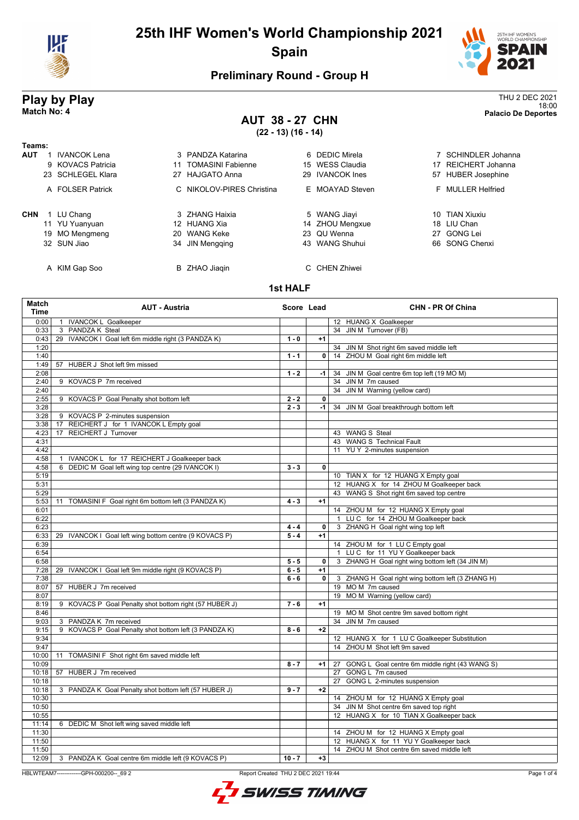



18:00 **Match No: 4 Palacio De Deportes**

## **Preliminary Round - Group H**

# **Play by Play**<br>Match No: 4<br>Match No: 4<br>Palacio De Deportes

## **AUT 38 - 27 CHN (22 - 13) (16 - 14)**

| Teams:     |                     |    |                           |                 |    |                     |
|------------|---------------------|----|---------------------------|-----------------|----|---------------------|
| <b>AUT</b> | <b>IVANCOK Lena</b> |    | 3 PANDZA Katarina         | 6 DEDIC Mirela  |    | 7 SCHINDLER Johanna |
|            | 9 KOVACS Patricia   | 11 | <b>TOMASINI Fabienne</b>  | 15 WESS Claudia |    | 17 REICHERT Johanna |
|            | 23 SCHLEGEL Klara   |    | 27 HAJGATO Anna           | 29 IVANCOK Ines |    | 57 HUBER Josephine  |
|            | A FOLSER Patrick    |    | C NIKOLOV-PIRES Christina | E MOAYAD Steven |    | F MULLER Helfried   |
| <b>CHN</b> | LU Chang            |    | 3 ZHANG Haixia            | 5 WANG Jiayi    |    | 10 TIAN Xiuxiu      |
|            | 11 YU Yuanyuan      |    | 12 HUANG Xia              | 14 ZHOU Mengxue |    | 18 LIU Chan         |
|            | 19 MO Mengmeng      |    | 20 WANG Keke              | 23 QU Wenna     | 27 | GONG Lei            |
|            | 32 SUN Jiao         |    | 34 JIN Mengging           | 43 WANG Shuhui  |    | 66 SONG Chenxi      |
|            | A KIM Gap Soo       |    | B ZHAO Jiaqin             | C CHEN Zhiwei   |    |                     |

#### **1st HALF**

| Match<br>Time | <b>AUT - Austria</b>                                        |          | Score Lead   | <b>CHN - PR Of China</b>                           |
|---------------|-------------------------------------------------------------|----------|--------------|----------------------------------------------------|
| 0:00          | <b>IVANCOK L Goalkeeper</b><br>$\mathbf{1}$                 |          |              | 12 HUANG X Goalkeeper                              |
| 0:33          | 3 PANDZA K Steal                                            |          |              | 34 JIN M Turnover (FB)                             |
| 0:43          | 29 IVANCOK I Goal left 6m middle right (3 PANDZA K)         | $1 - 0$  | $+1$         |                                                    |
| 1:20          |                                                             |          |              | 34<br>JIN M Shot right 6m saved middle left        |
| 1:40          |                                                             | $1 - 1$  | 0            | 14 ZHOU M Goal right 6m middle left                |
| 1:49          | 57 HUBER J Shot left 9m missed                              |          |              |                                                    |
| 2:08          |                                                             | $1 - 2$  | $-1$         | JIN M Goal centre 6m top left (19 MO M)<br>34      |
| 2:40          | 9 KOVACS P 7m received                                      |          |              | JIN M 7m caused<br>34                              |
| 2:40          |                                                             |          |              | JIN M Warning (yellow card)<br>34                  |
| 2:55          | 9 KOVACS P Goal Penalty shot bottom left                    | $2 - 2$  | 0            |                                                    |
| 3:28          |                                                             | $2 - 3$  | $-1$         | 34<br>JIN M Goal breakthrough bottom left          |
| 3:28          | 9 KOVACS P 2-minutes suspension                             |          |              |                                                    |
| 3:38          | REICHERT J for 1 IVANCOK L Empty goal<br>17                 |          |              |                                                    |
| 4:23          | REICHERT J Turnover<br>17                                   |          |              | 43 WANG S Steal                                    |
| 4:31          |                                                             |          |              | 43 WANG S Technical Fault                          |
| 4:42          |                                                             |          |              | YU Y 2-minutes suspension<br>11                    |
| 4:58          | IVANCOK L for 17 REICHERT J Goalkeeper back<br>$\mathbf{1}$ |          |              |                                                    |
| 4:58          | 6 DEDIC M Goal left wing top centre (29 IVANCOK I)          | $3 - 3$  | 0            |                                                    |
| 5:19          |                                                             |          |              | 10 TIAN X for 12 HUANG X Empty goal                |
| 5:31          |                                                             |          |              | 12 HUANG X for 14 ZHOU M Goalkeeper back           |
| 5:29          |                                                             |          |              | 43 WANG S Shot right 6m saved top centre           |
| 5:53          | 11 TOMASINI F Goal right 6m bottom left (3 PANDZA K)        | $4 - 3$  | $+1$         |                                                    |
| 6:01          |                                                             |          |              | 14 ZHOU M for 12 HUANG X Empty goal                |
| 6:22          |                                                             |          |              | LU C for 14 ZHOU M Goalkeeper back<br>$\mathbf{1}$ |
| 6:23          |                                                             | $4 - 4$  | 0            | 3 ZHANG H Goal right wing top left                 |
| 6:33          | 29 IVANCOK I Goal left wing bottom centre (9 KOVACS P)      | $5 - 4$  | $+1$         |                                                    |
| 6:39          |                                                             |          |              | 14 ZHOU M for 1 LU C Empty goal                    |
| 6:54          |                                                             |          |              | 1 LUC for 11 YUY Goalkeeper back                   |
| 6:58          |                                                             | $5 - 5$  | 0            | 3 ZHANG H Goal right wing bottom left (34 JIN M)   |
| 7:28          | IVANCOK I Goal left 9m middle right (9 KOVACS P)<br>29      | $6 - 5$  | $+1$         |                                                    |
| 7:38          |                                                             | $6 - 6$  | $\mathbf{0}$ | 3 ZHANG H Goal right wing bottom left (3 ZHANG H)  |
| 8:07          | 57 HUBER J 7m received                                      |          |              | 19 MO M 7m caused                                  |
| 8:07          |                                                             |          |              | 19 MOM Warning (yellow card)                       |
| 8:19          | 9 KOVACS P Goal Penalty shot bottom right (57 HUBER J)      | $7 - 6$  | $+1$         |                                                    |
| 8:46          |                                                             |          |              | 19 MOM Shot centre 9m saved bottom right           |
| 9:03          | 3 PANDZA K 7m received                                      |          |              | 34 JIN M 7m caused                                 |
| 9:15          | 9 KOVACS P Goal Penalty shot bottom left (3 PANDZA K)       | $8 - 6$  | $+2$         |                                                    |
| 9:34          |                                                             |          |              | 12 HUANG X for 1 LU C Goalkeeper Substitution      |
| 9:47          |                                                             |          |              | 14 ZHOU M Shot left 9m saved                       |
| 10:00         | 11 TOMASINI F Shot right 6m saved middle left               |          |              |                                                    |
| 10:09         |                                                             | $8 - 7$  | $+1$         | 27 GONG L Goal centre 6m middle right (43 WANG S)  |
| 10:18         | 57 HUBER J 7m received                                      |          |              | 27<br>GONG L 7m caused                             |
| 10:18         |                                                             |          |              | 27 GONG L 2-minutes suspension                     |
| 10:18         | 3 PANDZA K Goal Penalty shot bottom left (57 HUBER J)       | $9 - 7$  | $+2$         |                                                    |
| 10:30         |                                                             |          |              | 14 ZHOU M for 12 HUANG X Empty goal                |
| 10:50         |                                                             |          |              | 34 JIN M Shot centre 6m saved top right            |
| 10:55         |                                                             |          |              | 12 HUANG X for 10 TIAN X Goalkeeper back           |
| 11:14         | 6 DEDIC M Shot left wing saved middle left                  |          |              |                                                    |
| 11:30         |                                                             |          |              | 14 ZHOU M for 12 HUANG X Empty goal                |
| 11:50         |                                                             |          |              | 12 HUANG X for 11 YU Y Goalkeeper back             |
| 11:50         |                                                             |          |              | 14 ZHOU M Shot centre 6m saved middle left         |
| 12:09         | 3 PANDZA K Goal centre 6m middle left (9 KOVACS P)          | $10 - 7$ | $+3$         |                                                    |
|               |                                                             |          |              |                                                    |

HBLWTEAM7-------------GPH-000200--\_69 2 Report Created THU 2 DEC 2021 19:44

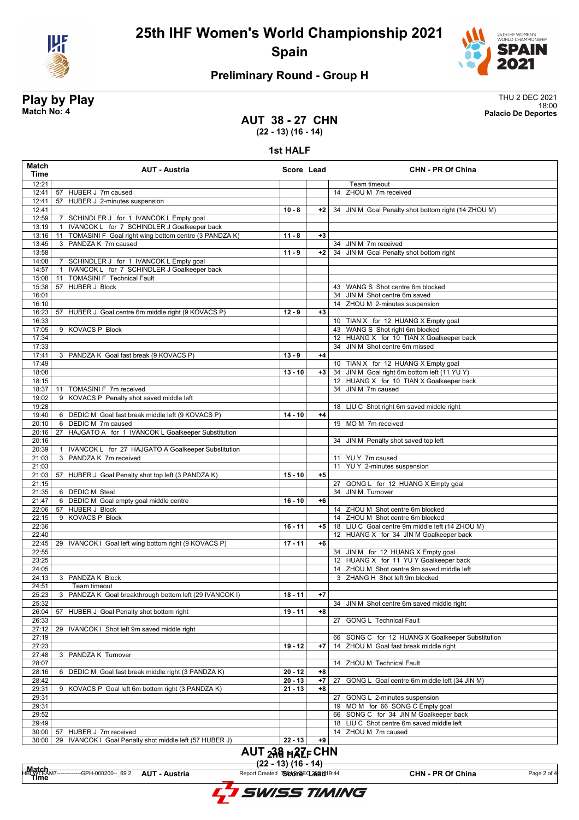



## **Preliminary Round - Group H**

## **Play by Play** Thu 2 DEC 2021 18:00 **Match No: 4 Palacio De Deportes**

#### **AUT 38 - 27 CHN (22 - 13) (16 - 14)**

**1st HALF**

| Match<br>Time  | <b>AUT - Austria</b>                                              | Score Lead |      | <b>CHN - PR Of China</b>                                       |
|----------------|-------------------------------------------------------------------|------------|------|----------------------------------------------------------------|
| 12:21          |                                                                   |            |      | Team timeout                                                   |
| 12:41          | 57 HUBER J 7m caused                                              |            |      | 14 ZHOU M 7m received                                          |
| 12:41          | 57 HUBER J 2-minutes suspension                                   |            |      |                                                                |
| 12:41          |                                                                   | $10 - 8$   | $+2$ | 34 JIN M Goal Penalty shot bottom right (14 ZHOU M)            |
| 12:59          | 7 SCHINDLER J for 1 IVANCOK L Empty goal                          |            |      |                                                                |
| 13:19          | IVANCOK L for 7 SCHINDLER J Goalkeeper back<br>$\overline{1}$     |            |      |                                                                |
| 13:16          | TOMASINI F Goal right wing bottom centre (3 PANDZA K)<br>11       | $11 - 8$   | $+3$ |                                                                |
| 13:45          | 3 PANDZA K 7m caused                                              |            |      | 34 JIN M 7m received                                           |
| 13:58<br>14:08 | 7 SCHINDLER J for 1 IVANCOK L Empty goal                          | $11 - 9$   | +2   | 34 JIN M Goal Penalty shot bottom right                        |
| 14:57          | IVANCOK L for 7 SCHINDLER J Goalkeeper back<br>$\mathbf{1}$       |            |      |                                                                |
| 15:08          | <b>TOMASINI F Technical Fault</b><br>11                           |            |      |                                                                |
| 15:38          | 57 HUBER J Block                                                  |            |      | 43 WANG S Shot centre 6m blocked                               |
| 16:01          |                                                                   |            |      | 34 JIN M Shot centre 6m saved                                  |
| 16:10          |                                                                   |            |      | 14 ZHOU M 2-minutes suspension                                 |
| 16:23          | 57 HUBER J Goal centre 6m middle right (9 KOVACS P)               | $12 - 9$   | $+3$ |                                                                |
| 16:33          |                                                                   |            |      | 10 TIAN X for 12 HUANG X Empty goal                            |
| 17:05          | 9 KOVACS P Block                                                  |            |      | 43 WANG S Shot right 6m blocked                                |
| 17:34          |                                                                   |            |      | 12 HUANG X for 10 TIAN X Goalkeeper back                       |
| 17:33          |                                                                   |            |      | 34 JIN M Shot centre 6m missed                                 |
| 17:41          | 3 PANDZA K Goal fast break (9 KOVACS P)                           | $13 - 9$   | $+4$ |                                                                |
| 17:49          |                                                                   |            |      | 10 TIAN X for 12 HUANG X Empty goal                            |
| 18:08          |                                                                   | $13 - 10$  | $+3$ | 34 JIN M Goal right 6m bottom left (11 YU Y)                   |
| 18:15<br>18:37 | 11 TOMASINI F 7m received                                         |            |      | 12 HUANG X for 10 TIAN X Goalkeeper back<br>34 JIN M 7m caused |
| 19:02          | 9 KOVACS P Penalty shot saved middle left                         |            |      |                                                                |
| 19:28          |                                                                   |            |      | 18 LIU C Shot right 6m saved middle right                      |
| 19:40          | 6 DEDIC M Goal fast break middle left (9 KOVACS P)                | $14 - 10$  | $+4$ |                                                                |
| 20:10          | 6 DEDIC M 7m caused                                               |            |      | 19 MO M 7m received                                            |
| 20:16          | 27 HAJGATO A for 1 IVANCOK L Goalkeeper Substitution              |            |      |                                                                |
| 20:16          |                                                                   |            |      | 34 JIN M Penalty shot saved top left                           |
| 20:39          | 1 IVANCOK L for 27 HAJGATO A Goalkeeper Substitution              |            |      |                                                                |
| 21:03          | 3 PANDZA K 7m received                                            |            |      | 11 YUY 7m caused                                               |
| 21:03          |                                                                   |            |      | 11 YUY 2-minutes suspension                                    |
|                | 21:03   57 HUBER J Goal Penalty shot top left (3 PANDZA K)        | $15 - 10$  | $+5$ |                                                                |
| 21:15          |                                                                   |            |      | 27 GONG L for 12 HUANG X Empty goal                            |
| 21:35          | 6 DEDIC M Steal                                                   |            |      | 34 JIN M Turnover                                              |
| 21:47          | 6 DEDIC M Goal empty goal middle centre<br>22:06 57 HUBER J Block | $16 - 10$  | $+6$ | 14 ZHOU M Shot centre 6m blocked                               |
| 22:15          | 9 KOVACS P Block                                                  |            |      | 14 ZHOU M Shot centre 6m blocked                               |
| 22:36          |                                                                   | $16 - 11$  | $+5$ | 18 LIU C Goal centre 9m middle left (14 ZHOU M)                |
| 22:40          |                                                                   |            |      | 12 HUANG X for 34 JIN M Goalkeeper back                        |
| 22:45          | 29 IVANCOK I Goal left wing bottom right (9 KOVACS P)             | $17 - 11$  | $+6$ |                                                                |
| 22:55          |                                                                   |            |      | 34 JIN M for 12 HUANG X Empty goal                             |
| 23:25          |                                                                   |            |      | 12 HUANG X for 11 YU Y Goalkeeper back                         |
| 24:05          |                                                                   |            |      | 14 ZHOU M Shot centre 9m saved middle left                     |
| 24:13          | 3 PANDZA K Block                                                  |            |      | 3 ZHANG H Shot left 9m blocked                                 |
| 24:51          | Team timeout                                                      |            |      |                                                                |
| 25:23          | 3 PANDZA K Goal breakthrough bottom left (29 IVANCOK I)           | $18 - 11$  | $+7$ |                                                                |
| 25:32          |                                                                   |            |      | 34 JIN M Shot centre 6m saved middle right                     |
| 26:04<br>26:33 | 57 HUBER J Goal Penalty shot bottom right                         | 19 - 11    | +8   | 27<br><b>GONG L Technical Fault</b>                            |
| 27:12          | IVANCOK I Shot left 9m saved middle right<br>29                   |            |      |                                                                |
| 27:19          |                                                                   |            |      | 66 SONG C for 12 HUANG X Goalkeeper Substitution               |
| 27:23          |                                                                   | $19 - 12$  | +7   | ZHOU M Goal fast break middle right<br>14                      |
| 27:48          | 3 PANDZA K Turnover                                               |            |      |                                                                |
| 28:07          |                                                                   |            |      | 14 ZHOU M Technical Fault                                      |
| 28:16          | 6 DEDIC M Goal fast break middle right (3 PANDZA K)               | $20 - 12$  | $+8$ |                                                                |
| 28:42          |                                                                   | $20 - 13$  | $+7$ | GONG L Goal centre 6m middle left (34 JIN M)<br>27             |
| 29:31          | 9 KOVACS P Goal left 6m bottom right (3 PANDZA K)                 | $21 - 13$  | $+8$ |                                                                |
| 29:31          |                                                                   |            |      | GONG L 2-minutes suspension<br>27                              |
| 29:31          |                                                                   |            |      | 19 MOM for 66 SONG C Empty goal                                |
| 29:52          |                                                                   |            |      | 66 SONG C for 34 JIN M Goalkeeper back                         |
| 29:49          |                                                                   |            |      | 18 LIU C Shot centre 6m saved middle left                      |
|                | 30:00   57 HUBER J 7m received                                    |            |      | 14 ZHOU M 7m caused                                            |
| 30:00          | 29 IVANCOK I Goal Penalty shot middle left (57 HUBER J)           | $22 - 13$  | +9   |                                                                |
|                | AUT <sub>24</sub> 8 H2ZF CHN                                      |            |      |                                                                |



-----GPH-000200--\_69 2 AUT - Austria

**Match**<br>Time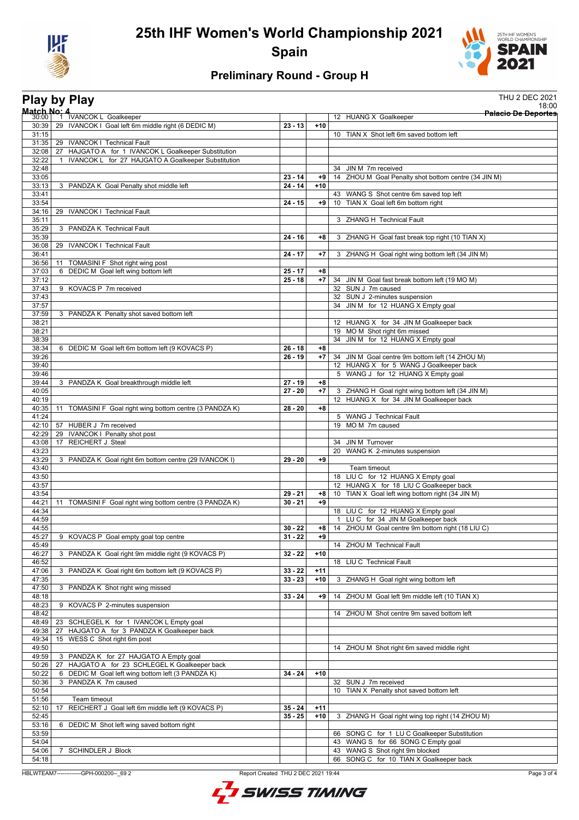



## **Preliminary Round - Group H**

|                |                 | <b>Play by Play</b>                                                       |                        |            | <b>THU 2 DEC 2021</b>                                                         |
|----------------|-----------------|---------------------------------------------------------------------------|------------------------|------------|-------------------------------------------------------------------------------|
| Match No: 4    |                 | <sup>1</sup> IVANCOK L Goalkeeper                                         |                        |            | 18:00<br><b>Palacio De Deportes</b>                                           |
| 30:00<br>30:39 |                 | 29 IVANCOK I Goal left 6m middle right (6 DEDIC M)                        | $23 - 13$              | $+10$      | 12 HUANG X Goalkeeper                                                         |
| 31:15          |                 |                                                                           |                        |            | 10 TIAN X Shot left 6m saved bottom left                                      |
|                |                 | 31:35   29 IVANCOK I Technical Fault                                      |                        |            |                                                                               |
| 32:08          |                 | 27 HAJGATO A for 1 IVANCOK L Goalkeeper Substitution                      |                        |            |                                                                               |
| 32:22          |                 | IVANCOK L for 27 HAJGATO A Goalkeeper Substitution                        |                        |            | 34 JIN M 7m received                                                          |
| 32:48<br>33:05 |                 |                                                                           | $23 - 14$              | +9         | 14 ZHOU M Goal Penalty shot bottom centre (34 JIN M)                          |
| 33:13          |                 | 3 PANDZA K Goal Penalty shot middle left                                  | $24 - 14$              | $+10$      |                                                                               |
| 33:41          |                 |                                                                           |                        |            | 43 WANG S Shot centre 6m saved top left                                       |
| 33:54          |                 |                                                                           | $24 - 15$              | +9         | 10 TIAN X Goal left 6m bottom right                                           |
| 34:16          |                 | 29 IVANCOK I Technical Fault                                              |                        |            |                                                                               |
| 35:11<br>35:29 |                 | 3 PANDZA K Technical Fault                                                |                        |            | 3 ZHANG H Technical Fault                                                     |
| 35:39          |                 |                                                                           | $24 - 16$              | +8         | 3 ZHANG H Goal fast break top right (10 TIAN X)                               |
| 36:08          |                 | 29 IVANCOK I Technical Fault                                              |                        |            |                                                                               |
| 36:41          |                 |                                                                           | $24 - 17$              | $+7$       | 3 ZHANG H Goal right wing bottom left (34 JIN M)                              |
| 36:56          | 11              | TOMASINI F Shot right wing post                                           |                        |            |                                                                               |
| 37:03          |                 | 6 DEDIC M Goal left wing bottom left                                      | $25 - 17$              | $+8$       |                                                                               |
| 37:12<br>37:43 |                 |                                                                           | $25 - 18$              | $+7$       | 34 JIN M Goal fast break bottom left (19 MO M)<br>32 SUN J 7m caused          |
| 37:43          |                 | 9 KOVACS P 7m received                                                    |                        |            | 32 SUN J 2-minutes suspension                                                 |
| 37:57          |                 |                                                                           |                        |            | JIN M for 12 HUANG X Empty goal<br>34                                         |
| 37:59          |                 | 3 PANDZA K Penalty shot saved bottom left                                 |                        |            |                                                                               |
| 38:21          |                 |                                                                           |                        |            | 12 HUANG X for 34 JIN M Goalkeeper back                                       |
| 38:21          |                 |                                                                           |                        |            | 19 MOM Shot right 6m missed                                                   |
| 38:39          |                 |                                                                           |                        |            | 34 JIN M for 12 HUANG X Empty goal                                            |
| 38:34<br>39:26 |                 | 6 DEDIC M Goal left 6m bottom left (9 KOVACS P)                           | $26 - 18$<br>$26 - 19$ | +8<br>$+7$ | 34 JIN M Goal centre 9m bottom left (14 ZHOU M)                               |
| 39:40          |                 |                                                                           |                        |            | 12 HUANG X for 5 WANG J Goalkeeper back                                       |
| 39:46          |                 |                                                                           |                        |            | 5 WANG J for 12 HUANG X Empty goal                                            |
| 39:44          |                 | 3 PANDZA K Goal breakthrough middle left                                  | $27 - 19$              | +8         |                                                                               |
| 40:05          |                 |                                                                           | $27 - 20$              | $+7$       | 3 ZHANG H Goal right wing bottom left (34 JIN M)                              |
| 40:19          |                 |                                                                           |                        |            | 12 HUANG X for 34 JIN M Goalkeeper back                                       |
| 40:35          |                 | 11 TOMASINI F Goal right wing bottom centre (3 PANDZA K)                  | $28 - 20$              | $+8$       |                                                                               |
| 41:24          |                 | 42:10   57 HUBER J 7m received                                            |                        |            | 5 WANG J Technical Fault<br>19 MOM 7m caused                                  |
| 42:29          |                 | 29 IVANCOK I Penalty shot post                                            |                        |            |                                                                               |
| 43:08          | 17              | <b>REICHERT J Steal</b>                                                   |                        |            | JIN M Turnover<br>34                                                          |
| 43:23          |                 |                                                                           |                        |            | WANG K 2-minutes suspension<br>20                                             |
| 43:29          |                 | 3 PANDZA K Goal right 6m bottom centre (29 IVANCOK I)                     | $29 - 20$              | +9         |                                                                               |
| 43:40          |                 |                                                                           |                        |            | Team timeout                                                                  |
| 43:50<br>43:57 |                 |                                                                           |                        |            | 18 LIU C for 12 HUANG X Empty goal<br>12 HUANG X for 18 LIU C Goalkeeper back |
| 43:54          |                 |                                                                           | $29 - 21$              | $+8$       | 10 TIAN X Goal left wing bottom right (34 JIN M)                              |
| 44:21          | 11              | TOMASINI F Goal right wing bottom centre (3 PANDZA K)                     | $30 - 21$              | +9         |                                                                               |
| 44:34          |                 |                                                                           |                        |            | 18 LIU C for 12 HUANG X Empty goal                                            |
| 44:59          |                 |                                                                           |                        |            | 1 LUC for 34 JIN M Goalkeeper back                                            |
| 44:55          |                 |                                                                           | $30 - 22$              | $+8$       | 14 ZHOU M Goal centre 9m bottom right (18 LIU C)                              |
| 45:27<br>45:49 |                 | 9 KOVACS P Goal empty goal top centre                                     | $31 - 22$              | $+9$       | 14 ZHOU M Technical Fault                                                     |
| 46:27          |                 | 3 PANDZA K Goal right 9m middle right (9 KOVACS P)                        | $32 - 22$              | $+10$      |                                                                               |
| 46:52          |                 |                                                                           |                        |            | 18 LIU C Technical Fault                                                      |
| 47:06          |                 | 3 PANDZA K Goal right 6m bottom left (9 KOVACS P)                         | $33 - 22$              | $+11$      |                                                                               |
| 47:35          |                 |                                                                           | $33 - 23$              | $+10$      | 3 ZHANG H Goal right wing bottom left                                         |
| 47:50          |                 | 3 PANDZA K Shot right wing missed                                         |                        |            |                                                                               |
| 48:18          |                 |                                                                           | $33 - 24$              | +9         | 14 ZHOU M Goal left 9m middle left (10 TIAN X)                                |
| 48:23<br>48:42 |                 | 9 KOVACS P 2-minutes suspension                                           |                        |            | 14 ZHOU M Shot centre 9m saved bottom left                                    |
| 48:49          | 23              | SCHLEGEL K for 1 IVANCOK L Empty goal                                     |                        |            |                                                                               |
| 49:38          | 27              | HAJGATO A for 3 PANDZA K Goalkeeper back                                  |                        |            |                                                                               |
| 49:34          | 15 <sub>1</sub> | WESS C Shot right 6m post                                                 |                        |            |                                                                               |
| 49:50          |                 |                                                                           |                        |            | 14 ZHOU M Shot right 6m saved middle right                                    |
| 49:59          |                 | 3 PANDZA K for 27 HAJGATO A Empty goal                                    |                        |            |                                                                               |
| 50:26          |                 | 27 HAJGATO A for 23 SCHLEGEL K Goalkeeper back                            |                        |            |                                                                               |
| 50:22<br>50:36 |                 | 6 DEDIC M Goal left wing bottom left (3 PANDZA K)<br>3 PANDZA K 7m caused | $34 - 24$              | $+10$      | 32 SUN J 7m received                                                          |
| 50:54          |                 |                                                                           |                        |            | TIAN X Penalty shot saved bottom left<br>10                                   |
| 51:56          |                 | Team timeout                                                              |                        |            |                                                                               |
| 52:10          | 17              | REICHERT J Goal left 6m middle left (9 KOVACS P)                          | $35 - 24$              | $+11$      |                                                                               |
| 52:45          |                 |                                                                           | $35 - 25$              | $+10$      | 3 ZHANG H Goal right wing top right (14 ZHOU M)                               |
| 53:16          |                 | 6 DEDIC M Shot left wing saved bottom right                               |                        |            |                                                                               |
| 53:59          |                 |                                                                           |                        |            | 66 SONG C for 1 LU C Goalkeeper Substitution                                  |
| 54:04          |                 |                                                                           |                        |            | 43 WANG S for 66 SONG C Empty goal                                            |
| 54:06<br>54:18 | $7\overline{ }$ | <b>SCHINDLER J Block</b>                                                  |                        |            | 43 WANG S Shot right 9m blocked<br>66 SONG C for 10 TIAN X Goalkeeper back    |
|                |                 |                                                                           |                        |            |                                                                               |

HBLWTEAM7-------------GPH-000200--\_69 2 Report Created THU 2 DEC 2021 19:44